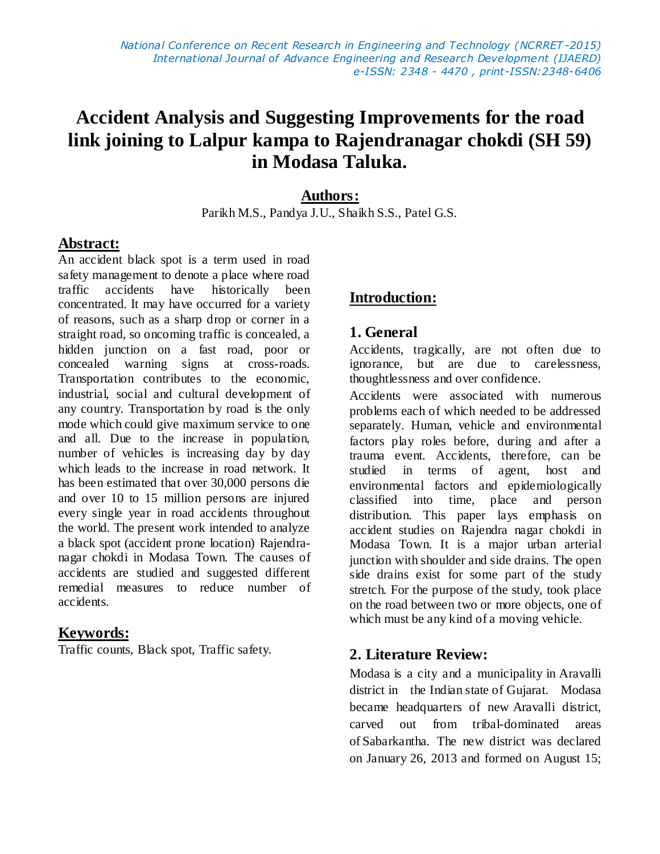# **Accident Analysis and Suggesting Improvements for the road link joining to Lalpur kampa to Rajendranagar chokdi (SH 59) in Modasa Taluka.**

#### **Authors:**

Parikh M.S., Pandya J.U., Shaikh S.S., Patel G.S.

#### **Abstract:**

An accident black spot is a term used in road safety management to denote a place where road traffic accidents have historically been concentrated. It may have occurred for a variety of reasons, such as a sharp drop or corner in a straight road, so oncoming traffic is concealed, a hidden junction on a fast road, poor or concealed warning signs at cross-roads. Transportation contributes to the economic, industrial, social and cultural development of any country. Transportation by road is the only mode which could give maximum service to one and all. Due to the increase in population, number of vehicles is increasing day by day which leads to the increase in road network. It has been estimated that over 30,000 persons die and over 10 to 15 million persons are injured every single year in road accidents throughout the world. The present work intended to analyze a black spot (accident prone location) Rajendranagar chokdi in Modasa Town. The causes of accidents are studied and suggested different remedial measures to reduce number of accidents.

#### **Keywords:**

Traffic counts, Black spot, Traffic safety.

### **Introduction:**

#### **1. General**

Accidents, tragically, are not often due to ignorance, but are due to carelessness, thoughtlessness and over confidence.

Accidents were associated with numerous problems each of which needed to be addressed separately. Human, vehicle and environmental factors play roles before, during and after a trauma event. Accidents, therefore, can be studied in terms of agent, host and environmental factors and epidemiologically classified into time, place and person distribution. This paper lays emphasis on accident studies on Rajendra nagar chokdi in Modasa Town. It is a major urban arterial junction with shoulder and side drains. The open side drains exist for some part of the study stretch. For the purpose of the study, took place on the road between two or more objects, one of which must be any kind of a moving vehicle.

#### **2. Literature Review:**

Modasa is a city and a [municipality](http://en.wikipedia.org/wiki/Municipality) in [Aravalli](http://en.wikipedia.org/wiki/Aravalli_district)  [district](http://en.wikipedia.org/wiki/Aravalli_district) in the [Indian](http://en.wikipedia.org/wiki/India) [state](http://en.wikipedia.org/wiki/States_and_territories_of_India) of [Gujarat.](http://en.wikipedia.org/wiki/Gujarat) Modasa became headquarters of new [Aravalli district,](http://en.wikipedia.org/wiki/Aravalli_district) carved out from tribal-dominated areas of [Sabarkantha.](http://en.wikipedia.org/wiki/Sabarkantha) The new district was declared on January 26, 2013 and formed on August 15;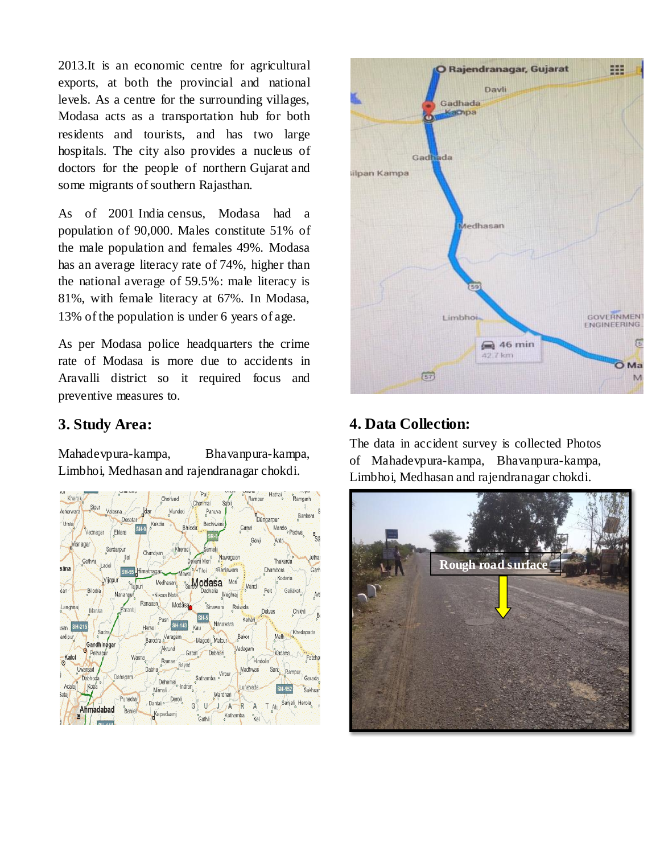2013.It is an economic centre for agricultural exports, at both the provincial and national levels. As a centre for the surrounding villages, Modasa acts as a transportation hub for both residents and tourists, and has two large hospitals. The city also provides a nucleus of doctors for the people of northern [Gujarat](http://en.wikipedia.org/wiki/Gujarat) and some migrants of southern [Rajasthan.](http://en.wikipedia.org/wiki/Rajasthan)

As of 2001 India [census,](http://en.wikipedia.org/wiki/Census) Modasa had a population of 90,000. Males constitute 51% of the male population and females 49%. Modasa has an average literacy rate of 74%, higher than the national average of 59.5%: male literacy is 81%, with female literacy at 67%. In Modasa, 13% of the population is under 6 years of age.

As per Modasa police headquarters the crime rate of Modasa is more due to accidents in Aravalli district so it required focus and preventive measures to.

#### **3. Study Area:**

Mahadevpura-kampa, Bhavanpura-kampa, Limbhoi, Medhasan and rajendranagar chokdi.





### **4. Data Collection:**

The data in accident survey is collected Photos of Mahadevpura-kampa, Bhavanpura-kampa, Limbhoi, Medhasan and rajendranagar chokdi.

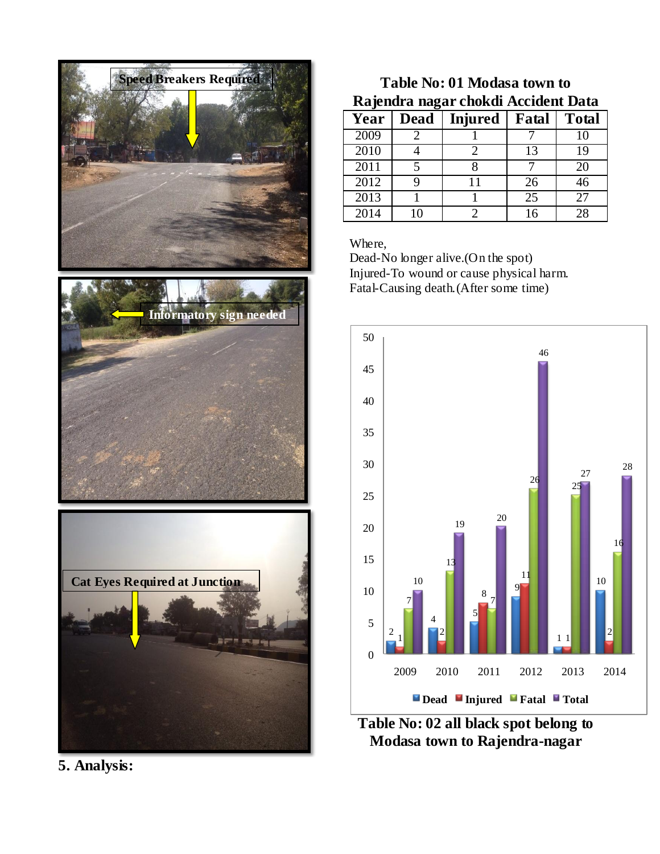





**5. Analysis:**

## **Table No: 01 Modasa town to Rajendra nagar chokdi Accident Data**

| Year | <b>Dead</b> | <b>Injured</b> | Fatal | <b>Total</b> |
|------|-------------|----------------|-------|--------------|
| 2009 |             |                |       | 10           |
| 2010 |             |                | 13    | 19           |
| 2011 |             |                |       | 20           |
| 2012 |             |                | 26    | 46           |
| 2013 |             |                | 25    | 27           |
| 2014 |             |                |       | 28           |

Where,

Dead-No longer alive.(On the spot) Injured-To wound or cause physical harm. Fatal-Causing death.(After some time)



**Table No: 02 all black spot belong to Modasa town to Rajendra-nagar**